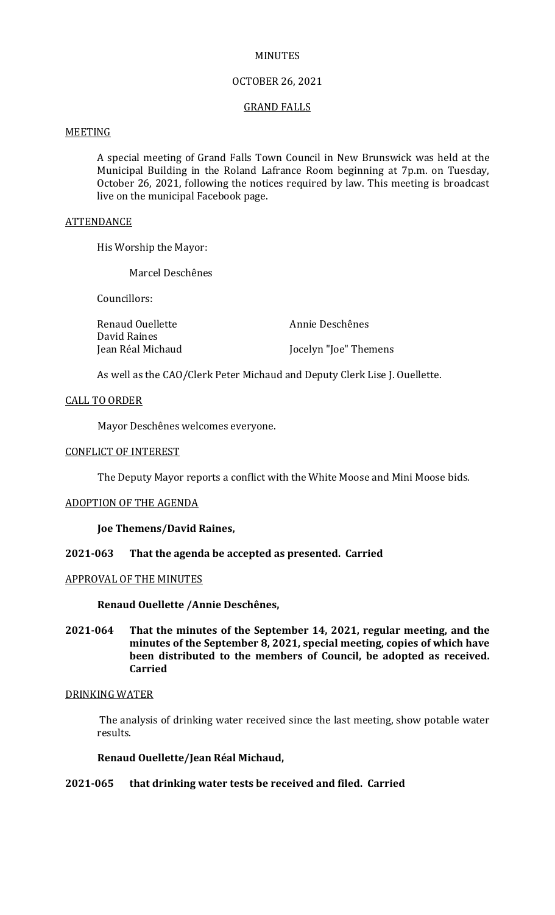## MINUTES

## OCTOBER 26, 2021

## GRAND FALLS

# MEETING

A special meeting of Grand Falls Town Council in New Brunswick was held at the Municipal Building in the Roland Lafrance Room beginning at 7p.m. on Tuesday, October 26, 2021, following the notices required by law. This meeting is broadcast live on the municipal Facebook page.

#### **ATTENDANCE**

His Worship the Mayor:

Marcel Deschênes

Councillors:

| Renaud Ouellette  | Annie Deschênes       |
|-------------------|-----------------------|
| David Raines      |                       |
| Jean Réal Michaud | Jocelyn "Joe" Themens |

As well as the CAO/Clerk Peter Michaud and Deputy Clerk Lise J. Ouellette.

### CALL TO ORDER

Mayor Deschênes welcomes everyone.

## CONFLICT OF INTEREST

The Deputy Mayor reports a conflict with the White Moose and Mini Moose bids.

### ADOPTION OF THE AGENDA

**Joe Themens/David Raines,**

### **2021-063 That the agenda be accepted as presented. Carried**

#### APPROVAL OF THE MINUTES

**Renaud Ouellette /Annie Deschênes,**

**2021-064 That the minutes of the September 14, 2021, regular meeting, and the minutes of the September 8, 2021, special meeting, copies of which have been distributed to the members of Council, be adopted as received. Carried**

### DRINKING WATER

The analysis of drinking water received since the last meeting, show potable water results.

### **Renaud Ouellette/Jean Réal Michaud,**

# **2021-065 that drinking water tests be received and filed. Carried**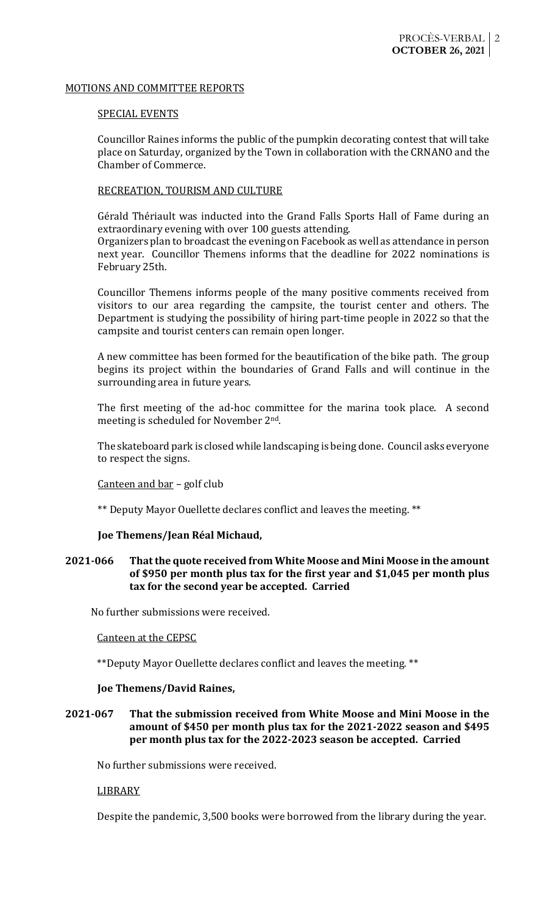## MOTIONS AND COMMITTEE REPORTS

# SPECIAL EVENTS

Councillor Raines informs the public of the pumpkin decorating contest that will take place on Saturday, organized by the Town in collaboration with the CRNANO and the Chamber of Commerce.

## RECREATION, TOURISM AND CULTURE

Gérald Thériault was inducted into the Grand Falls Sports Hall of Fame during an extraordinary evening with over 100 guests attending.

Organizers plan to broadcast the evening on Facebook as well as attendance in person next year. Councillor Themens informs that the deadline for 2022 nominations is February 25th.

Councillor Themens informs people of the many positive comments received from visitors to our area regarding the campsite, the tourist center and others. The Department is studying the possibility of hiring part-time people in 2022 so that the campsite and tourist centers can remain open longer.

A new committee has been formed for the beautification of the bike path. The group begins its project within the boundaries of Grand Falls and will continue in the surrounding area in future years.

The first meeting of the ad-hoc committee for the marina took place. A second meeting is scheduled for November 2nd.

The skateboard park is closed while landscaping is being done. Council asks everyone to respect the signs.

# Canteen and bar – golf club

\*\* Deputy Mayor Ouellette declares conflict and leaves the meeting. \*\*

# **Joe Themens/Jean Réal Michaud,**

# **2021-066 That the quote received from White Moose and Mini Moose in the amount of \$950 per month plus tax for the first year and \$1,045 per month plus tax for the second year be accepted. Carried**

No further submissions were received.

### Canteen at the CEPSC

\*\*Deputy Mayor Ouellette declares conflict and leaves the meeting. \*\*

### **Joe Themens/David Raines,**

# **2021-067 That the submission received from White Moose and Mini Moose in the amount of \$450 per month plus tax for the 2021-2022 season and \$495 per month plus tax for the 2022-2023 season be accepted. Carried**

No further submissions were received.

# LIBRARY

Despite the pandemic, 3,500 books were borrowed from the library during the year.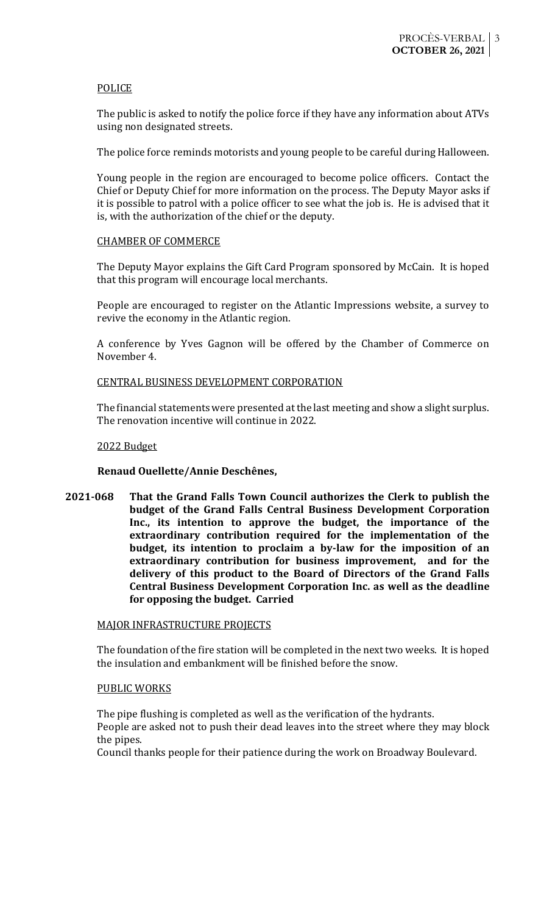## POLICE

The public is asked to notify the police force if they have any information about ATVs using non designated streets.

The police force reminds motorists and young people to be careful during Halloween.

Young people in the region are encouraged to become police officers. Contact the Chief or Deputy Chief for more information on the process. The Deputy Mayor asks if it is possible to patrol with a police officer to see what the job is. He is advised that it is, with the authorization of the chief or the deputy.

## CHAMBER OF COMMERCE

The Deputy Mayor explains the Gift Card Program sponsored by McCain. It is hoped that this program will encourage local merchants.

People are encouraged to register on the Atlantic Impressions website, a survey to revive the economy in the Atlantic region.

A conference by Yves Gagnon will be offered by the Chamber of Commerce on November 4.

## CENTRAL BUSINESS DEVELOPMENT CORPORATION

The financial statements were presented at the last meeting and show a slight surplus. The renovation incentive will continue in 2022.

## 2022 Budget

# **Renaud Ouellette/Annie Deschênes,**

**2021-068 That the Grand Falls Town Council authorizes the Clerk to publish the budget of the Grand Falls Central Business Development Corporation Inc., its intention to approve the budget, the importance of the extraordinary contribution required for the implementation of the budget, its intention to proclaim a by-law for the imposition of an extraordinary contribution for business improvement, and for the delivery of this product to the Board of Directors of the Grand Falls Central Business Development Corporation Inc. as well as the deadline for opposing the budget. Carried**

### MAJOR INFRASTRUCTURE PROJECTS

The foundation of the fire station will be completed in the next two weeks. It is hoped the insulation and embankment will be finished before the snow.

### PUBLIC WORKS

The pipe flushing is completed as well as the verification of the hydrants. People are asked not to push their dead leaves into the street where they may block the pipes.

Council thanks people for their patience during the work on Broadway Boulevard.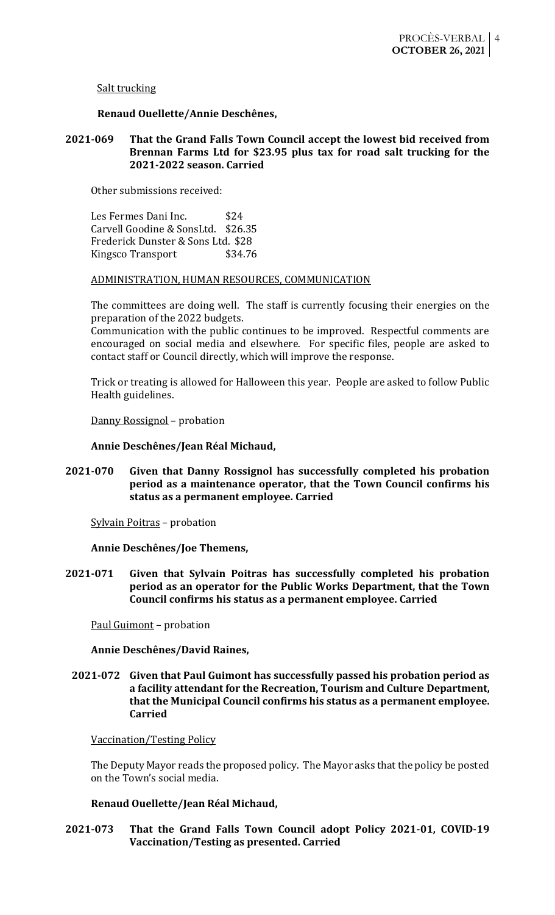Salt trucking

# **Renaud Ouellette/Annie Deschênes,**

# **2021-069 That the Grand Falls Town Council accept the lowest bid received from Brennan Farms Ltd for \$23.95 plus tax for road salt trucking for the 2021-2022 season. Carried**

Other submissions received:

Les Fermes Dani Inc. \$24 Carvell Goodine & SonsLtd. \$26.35 Frederick Dunster & Sons Ltd. \$28 Kingsco Transport \$34.76

# ADMINISTRATION, HUMAN RESOURCES, COMMUNICATION

The committees are doing well. The staff is currently focusing their energies on the preparation of the 2022 budgets.

Communication with the public continues to be improved. Respectful comments are encouraged on social media and elsewhere. For specific files, people are asked to contact staff or Council directly, which will improve the response.

Trick or treating is allowed for Halloween this year. People are asked to follow Public Health guidelines.

Danny Rossignol – probation

**Annie Deschênes/Jean Réal Michaud,**

**2021-070 Given that Danny Rossignol has successfully completed his probation period as a maintenance operator, that the Town Council confirms his status as a permanent employee. Carried**

Sylvain Poitras – probation

**Annie Deschênes/Joe Themens,**

**2021-071 Given that Sylvain Poitras has successfully completed his probation period as an operator for the Public Works Department, that the Town Council confirms his status as a permanent employee. Carried**

Paul Guimont – probation

# **Annie Deschênes/David Raines,**

# **2021-072 Given that Paul Guimont has successfully passed his probation period as a facility attendant for the Recreation, Tourism and Culture Department, that the Municipal Council confirms his status as a permanent employee. Carried**

Vaccination/Testing Policy

The Deputy Mayor reads the proposed policy. The Mayor asks that the policy be posted on the Town's social media.

# **Renaud Ouellette/Jean Réal Michaud,**

# **2021-073 That the Grand Falls Town Council adopt Policy 2021-01, COVID-19 Vaccination/Testing as presented. Carried**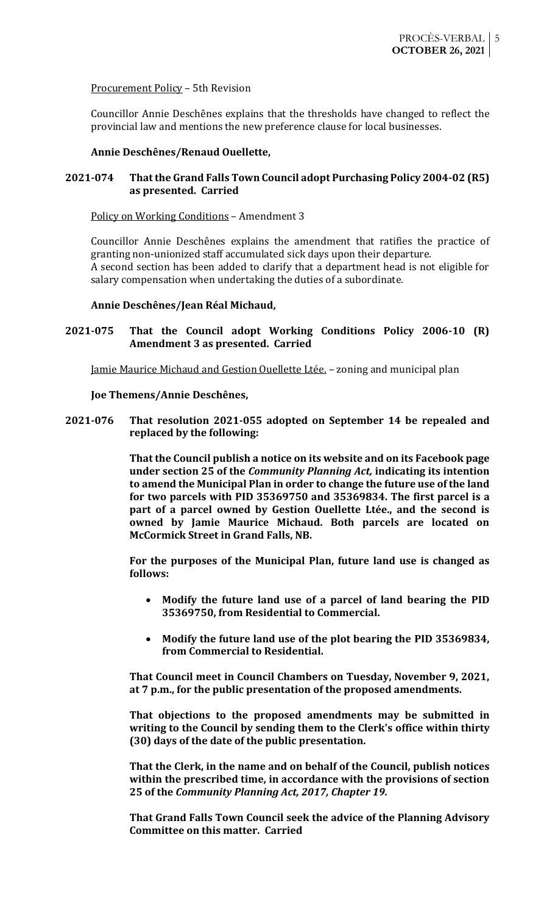# Procurement Policy – 5th Revision

Councillor Annie Deschênes explains that the thresholds have changed to reflect the provincial law and mentions the new preference clause for local businesses.

## **Annie Deschênes/Renaud Ouellette,**

# **2021-074 That the Grand Falls Town Council adopt Purchasing Policy 2004-02 (R5) as presented. Carried**

## Policy on Working Conditions – Amendment 3

Councillor Annie Deschênes explains the amendment that ratifies the practice of granting non-unionized staff accumulated sick days upon their departure. A second section has been added to clarify that a department head is not eligible for salary compensation when undertaking the duties of a subordinate.

### **Annie Deschênes/Jean Réal Michaud,**

# **2021-075 That the Council adopt Working Conditions Policy 2006-10 (R) Amendment 3 as presented. Carried**

Jamie Maurice Michaud and Gestion Ouellette Ltée. - zoning and municipal plan

### **Joe Themens/Annie Deschênes,**

**2021-076 That resolution 2021-055 adopted on September 14 be repealed and replaced by the following:**

> **That the Council publish a notice on its website and on its Facebook page under section 25 of the** *Community Planning Act,* **indicating its intention to amend the Municipal Plan in order to change the future use of the land for two parcels with PID 35369750 and 35369834. The first parcel is a part of a parcel owned by Gestion Ouellette Ltée., and the second is owned by Jamie Maurice Michaud. Both parcels are located on McCormick Street in Grand Falls, NB.**

> **For the purposes of the Municipal Plan, future land use is changed as follows:**

- **Modify the future land use of a parcel of land bearing the PID 35369750, from Residential to Commercial.**
- **Modify the future land use of the plot bearing the PID 35369834, from Commercial to Residential.**

**That Council meet in Council Chambers on Tuesday, November 9, 2021, at 7 p.m., for the public presentation of the proposed amendments.**

**That objections to the proposed amendments may be submitted in writing to the Council by sending them to the Clerk's office within thirty (30) days of the date of the public presentation.**

**That the Clerk, in the name and on behalf of the Council, publish notices within the prescribed time, in accordance with the provisions of section 25 of the** *Community Planning Act, 2017, Chapter 19.*

**That Grand Falls Town Council seek the advice of the Planning Advisory Committee on this matter. Carried**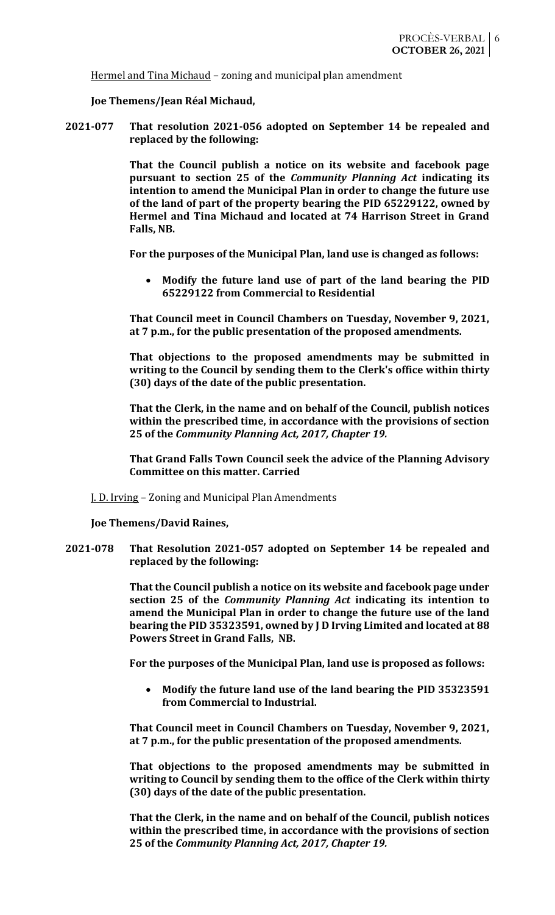Hermel and Tina Michaud – zoning and municipal plan amendment

**Joe Themens/Jean Réal Michaud,**

**2021-077 That resolution 2021-056 adopted on September 14 be repealed and replaced by the following:**

> **That the Council publish a notice on its website and facebook page pursuant to section 25 of the** *Community Planning Act* **indicating its intention to amend the Municipal Plan in order to change the future use of the land of part of the property bearing the PID 65229122, owned by Hermel and Tina Michaud and located at 74 Harrison Street in Grand Falls, NB.**

**For the purposes of the Municipal Plan, land use is changed as follows:**

• **Modify the future land use of part of the land bearing the PID 65229122 from Commercial to Residential**

**That Council meet in Council Chambers on Tuesday, November 9, 2021, at 7 p.m., for the public presentation of the proposed amendments.**

**That objections to the proposed amendments may be submitted in writing to the Council by sending them to the Clerk's office within thirty (30) days of the date of the public presentation.**

**That the Clerk, in the name and on behalf of the Council, publish notices within the prescribed time, in accordance with the provisions of section 25 of the** *Community Planning Act, 2017, Chapter 19.*

**That Grand Falls Town Council seek the advice of the Planning Advisory Committee on this matter. Carried**

J. D. Irving – Zoning and Municipal Plan Amendments

**Joe Themens/David Raines,**

**2021-078 That Resolution 2021-057 adopted on September 14 be repealed and replaced by the following:**

> **That the Council publish a notice on its website and facebook page under section 25 of the** *Community Planning Act* **indicating its intention to amend the Municipal Plan in order to change the future use of the land bearing the PID 35323591, owned by J D Irving Limited and located at 88 Powers Street in Grand Falls, NB.**

**For the purposes of the Municipal Plan, land use is proposed as follows:**

• **Modify the future land use of the land bearing the PID 35323591 from Commercial to Industrial.**

**That Council meet in Council Chambers on Tuesday, November 9, 2021, at 7 p.m., for the public presentation of the proposed amendments.**

**That objections to the proposed amendments may be submitted in writing to Council by sending them to the office of the Clerk within thirty (30) days of the date of the public presentation.**

**That the Clerk, in the name and on behalf of the Council, publish notices within the prescribed time, in accordance with the provisions of section 25 of the** *Community Planning Act, 2017, Chapter 19.*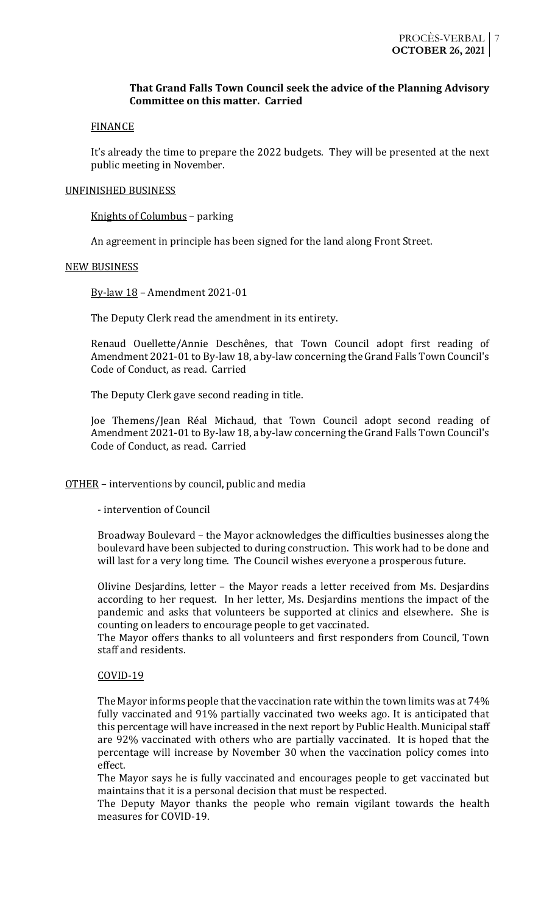# **That Grand Falls Town Council seek the advice of the Planning Advisory Committee on this matter. Carried**

## **FINANCE**

It's already the time to prepare the 2022 budgets. They will be presented at the next public meeting in November.

## UNFINISHED BUSINESS

Knights of Columbus – parking

An agreement in principle has been signed for the land along Front Street.

### NEW BUSINESS

By-law 18 – Amendment 2021-01

The Deputy Clerk read the amendment in its entirety.

Renaud Ouellette/Annie Deschênes, that Town Council adopt first reading of Amendment 2021-01 to By-law 18, a by-law concerning the Grand Falls Town Council's Code of Conduct, as read. Carried

The Deputy Clerk gave second reading in title.

Joe Themens/Jean Réal Michaud, that Town Council adopt second reading of Amendment 2021-01 to By-law 18, a by-law concerning the Grand Falls Town Council's Code of Conduct, as read. Carried

# OTHER – interventions by council, public and media

- intervention of Council

Broadway Boulevard – the Mayor acknowledges the difficulties businesses along the boulevard have been subjected to during construction. This work had to be done and will last for a very long time. The Council wishes everyone a prosperous future.

Olivine Desjardins, letter – the Mayor reads a letter received from Ms. Desjardins according to her request. In her letter, Ms. Desjardins mentions the impact of the pandemic and asks that volunteers be supported at clinics and elsewhere. She is counting on leaders to encourage people to get vaccinated.

The Mayor offers thanks to all volunteers and first responders from Council, Town staff and residents.

### COVID-19

The Mayor informs people that the vaccination rate within the town limits was at 74% fully vaccinated and 91% partially vaccinated two weeks ago. It is anticipated that this percentage will have increased in the next report by Public Health. Municipal staff are 92% vaccinated with others who are partially vaccinated. It is hoped that the percentage will increase by November 30 when the vaccination policy comes into effect.

The Mayor says he is fully vaccinated and encourages people to get vaccinated but maintains that it is a personal decision that must be respected.

The Deputy Mayor thanks the people who remain vigilant towards the health measures for COVID-19.